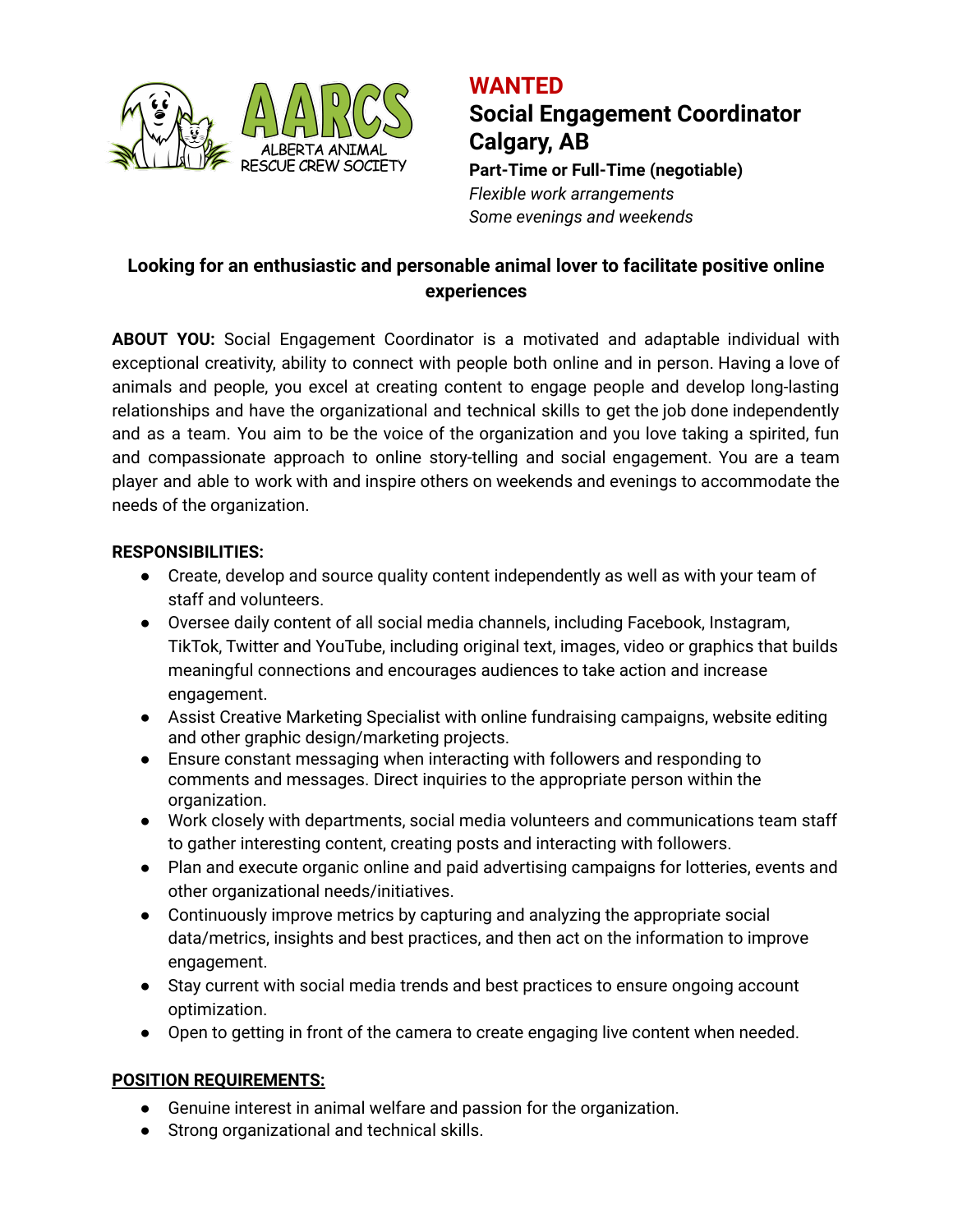

# **WANTED Social Engagement Coordinator Calgary, AB**

**Part-Time or Full-Time (negotiable)** *Flexible work arrangements Some evenings and weekends*

## **Looking for an enthusiastic and personable animal lover to facilitate positive online experiences**

**ABOUT YOU:** Social Engagement Coordinator is a motivated and adaptable individual with exceptional creativity, ability to connect with people both online and in person. Having a love of animals and people, you excel at creating content to engage people and develop long-lasting relationships and have the organizational and technical skills to get the job done independently and as a team. You aim to be the voice of the organization and you love taking a spirited, fun and compassionate approach to online story-telling and social engagement. You are a team player and able to work with and inspire others on weekends and evenings to accommodate the needs of the organization.

## **RESPONSIBILITIES:**

- Create, develop and source quality content independently as well as with your team of staff and volunteers.
- Oversee daily content of all social media channels, including Facebook, Instagram, TikTok, Twitter and YouTube, including original text, images, video or graphics that builds meaningful connections and encourages audiences to take action and increase engagement.
- Assist Creative Marketing Specialist with online fundraising campaigns, website editing and other graphic design/marketing projects.
- Ensure constant messaging when interacting with followers and responding to comments and messages. Direct inquiries to the appropriate person within the organization.
- Work closely with departments, social media volunteers and communications team staff to gather interesting content, creating posts and interacting with followers.
- Plan and execute organic online and paid advertising campaigns for lotteries, events and other organizational needs/initiatives.
- Continuously improve metrics by capturing and analyzing the appropriate social data/metrics, insights and best practices, and then act on the information to improve engagement.
- Stay current with social media trends and best practices to ensure ongoing account optimization.
- Open to getting in front of the camera to create engaging live content when needed.

## **POSITION REQUIREMENTS:**

- Genuine interest in animal welfare and passion for the organization.
- Strong organizational and technical skills.